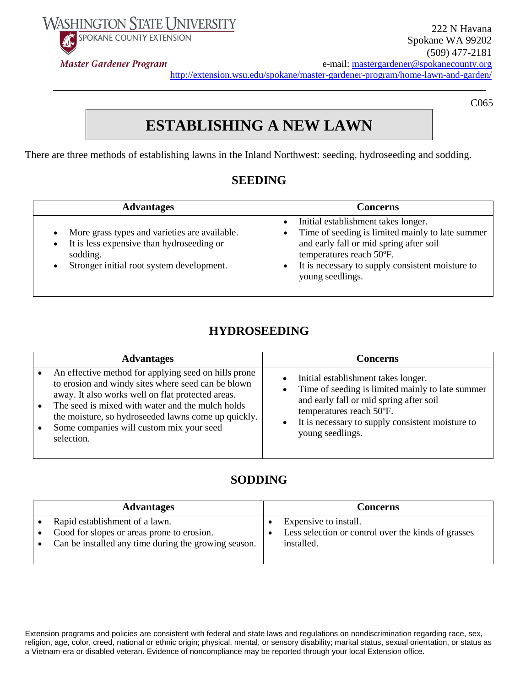**WASHINGTON STATE UNIVERSITY** SPOKANE COUNTY EXTENSION

**Master Gardener Program** 



C065

# **ESTABLISHING A NEW LAWN**

There are three methods of establishing lawns in the Inland Northwest: seeding, hydroseeding and sodding.

## **SEEDING**

| <b>Advantages</b>                                                                                                                                   | <b>Concerns</b>                                                                                                                                                                                                                        |
|-----------------------------------------------------------------------------------------------------------------------------------------------------|----------------------------------------------------------------------------------------------------------------------------------------------------------------------------------------------------------------------------------------|
| More grass types and varieties are available.<br>It is less expensive than hydroseeding or<br>sodding.<br>Stronger initial root system development. | Initial establishment takes longer.<br>Time of seeding is limited mainly to late summer<br>and early fall or mid spring after soil<br>temperatures reach 50°F.<br>It is necessary to supply consistent moisture to<br>young seedlings. |

# **HYDROSEEDING**

| <b>Advantages</b>                                    | <b>Concerns</b>                                  |
|------------------------------------------------------|--------------------------------------------------|
| An effective method for applying seed on hills prone | Initial establishment takes longer.              |
| to erosion and windy sites where seed can be blown   | $\bullet$                                        |
| away. It also works well on flat protected areas.    | Time of seeding is limited mainly to late summer |
| The seed is mixed with water and the mulch holds     | $\bullet$                                        |
| $\bullet$                                            | and early fall or mid spring after soil          |
| the moisture, so hydroseeded lawns come up quickly.  | temperatures reach 50°F.                         |
| Some companies will custom mix your seed             | It is necessary to supply consistent moisture to |
| $\bullet$                                            | $\bullet$                                        |
| selection.                                           | young seedlings.                                 |

# **SODDING**

| <b>Advantages</b>                                    | Concerns                                            |
|------------------------------------------------------|-----------------------------------------------------|
| Rapid establishment of a lawn.                       | Expensive to install.                               |
| Good for slopes or areas prone to erosion.           | Less selection or control over the kinds of grasses |
| Can be installed any time during the growing season. | installed.                                          |
|                                                      |                                                     |

Extension programs and policies are consistent with federal and state laws and regulations on nondiscrimination regarding race, sex, religion, age, color, creed, national or ethnic origin; physical, mental, or sensory disability; marital status, sexual orientation, or status as a Vietnam-era or disabled veteran. Evidence of noncompliance may be reported through your local Extension office.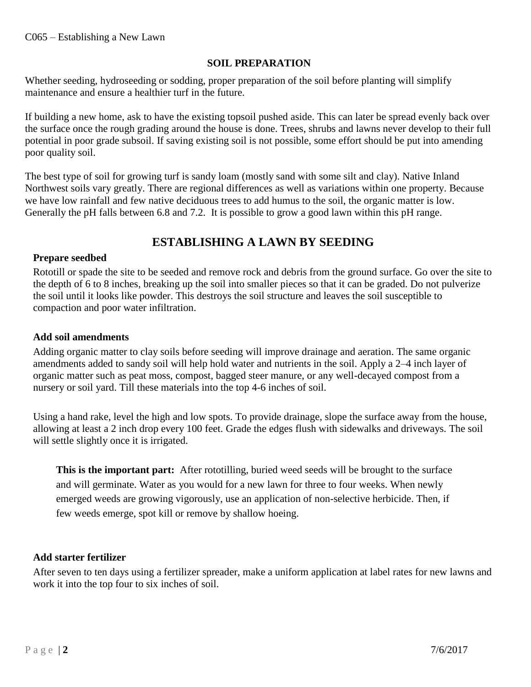#### **SOIL PREPARATION**

Whether seeding, hydroseeding or sodding, proper preparation of the soil before planting will simplify maintenance and ensure a healthier turf in the future.

If building a new home, ask to have the existing topsoil pushed aside. This can later be spread evenly back over the surface once the rough grading around the house is done. Trees, shrubs and lawns never develop to their full potential in poor grade subsoil. If saving existing soil is not possible, some effort should be put into amending poor quality soil.

The best type of soil for growing turf is sandy loam (mostly sand with some silt and clay). Native Inland Northwest soils vary greatly. There are regional differences as well as variations within one property. Because we have low rainfall and few native deciduous trees to add humus to the soil, the organic matter is low. Generally the pH falls between 6.8 and 7.2. It is possible to grow a good lawn within this pH range.

## **ESTABLISHING A LAWN BY SEEDING**

### **Prepare seedbed**

Rototill or spade the site to be seeded and remove rock and debris from the ground surface. Go over the site to the depth of 6 to 8 inches, breaking up the soil into smaller pieces so that it can be graded. Do not pulverize the soil until it looks like powder. This destroys the soil structure and leaves the soil susceptible to compaction and poor water infiltration.

#### **Add soil amendments**

Adding organic matter to clay soils before seeding will improve drainage and aeration. The same organic amendments added to sandy soil will help hold water and nutrients in the soil. Apply a 2–4 inch layer of organic matter such as peat moss, compost, bagged steer manure, or any well-decayed compost from a nursery or soil yard. Till these materials into the top 4-6 inches of soil.

Using a hand rake, level the high and low spots. To provide drainage, slope the surface away from the house, allowing at least a 2 inch drop every 100 feet. Grade the edges flush with sidewalks and driveways. The soil will settle slightly once it is irrigated.

**This is the important part:** After rototilling, buried weed seeds will be brought to the surface and will germinate. Water as you would for a new lawn for three to four weeks. When newly emerged weeds are growing vigorously, use an application of non-selective herbicide. Then, if few weeds emerge, spot kill or remove by shallow hoeing.

#### **Add starter fertilizer**

After seven to ten days using a fertilizer spreader, make a uniform application at label rates for new lawns and work it into the top four to six inches of soil.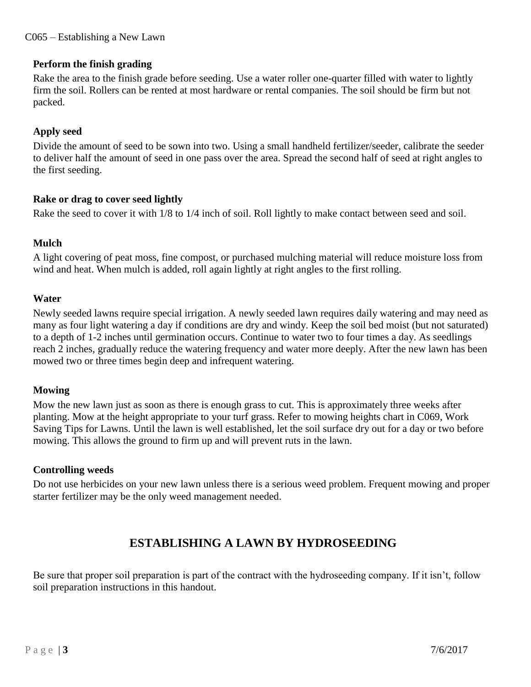#### **Perform the finish grading**

Rake the area to the finish grade before seeding. Use a water roller one-quarter filled with water to lightly firm the soil. Rollers can be rented at most hardware or rental companies. The soil should be firm but not packed.

#### **Apply seed**

Divide the amount of seed to be sown into two. Using a small handheld fertilizer/seeder, calibrate the seeder to deliver half the amount of seed in one pass over the area. Spread the second half of seed at right angles to the first seeding.

#### **Rake or drag to cover seed lightly**

Rake the seed to cover it with 1/8 to 1/4 inch of soil. Roll lightly to make contact between seed and soil.

#### **Mulch**

A light covering of peat moss, fine compost, or purchased mulching material will reduce moisture loss from wind and heat. When mulch is added, roll again lightly at right angles to the first rolling.

#### **Water**

Newly seeded lawns require special irrigation. A newly seeded lawn requires daily watering and may need as many as four light watering a day if conditions are dry and windy. Keep the soil bed moist (but not saturated) to a depth of 1-2 inches until germination occurs. Continue to water two to four times a day. As seedlings reach 2 inches, gradually reduce the watering frequency and water more deeply. After the new lawn has been mowed two or three times begin deep and infrequent watering.

### **Mowing**

Mow the new lawn just as soon as there is enough grass to cut. This is approximately three weeks after planting. Mow at the height appropriate to your turf grass. Refer to mowing heights chart in C069, Work Saving Tips for Lawns. Until the lawn is well established, let the soil surface dry out for a day or two before mowing. This allows the ground to firm up and will prevent ruts in the lawn.

### **Controlling weeds**

Do not use herbicides on your new lawn unless there is a serious weed problem. Frequent mowing and proper starter fertilizer may be the only weed management needed.

## **ESTABLISHING A LAWN BY HYDROSEEDING**

Be sure that proper soil preparation is part of the contract with the hydroseeding company. If it isn't, follow soil preparation instructions in this handout.